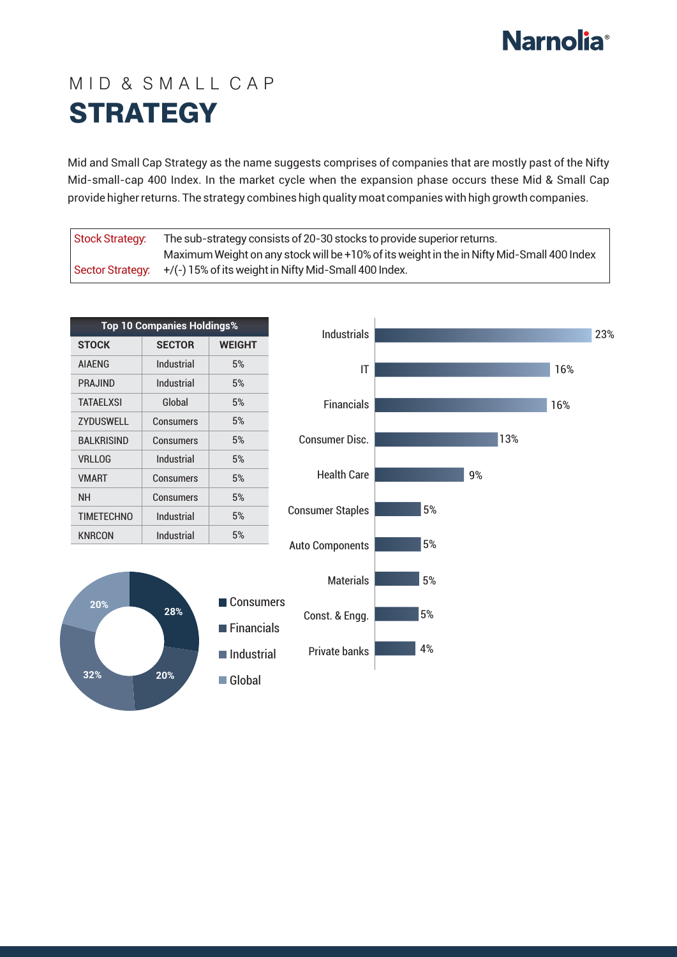## **Narnolia**<sup>®</sup>

## MID & SMALL CAP **STRATEGY**

Mid and Small Cap Strategy as the name suggests comprises of companies that are mostly past of the Nifty Mid-small-cap 400 Index. In the market cycle when the expansion phase occurs these Mid & Small Cap provide higher returns. The strategy combines high quality moat companies with high growth companies.

| Stock Strategy: | The sub-strategy consists of 20-30 stocks to provide superior returns.                     |  |
|-----------------|--------------------------------------------------------------------------------------------|--|
|                 | Maximum Weight on any stock will be +10% of its weight in the in Nifty Mid-Small 400 Index |  |
|                 | Sector Strategy: $+/(-)$ 15% of its weight in Nifty Mid-Small 400 Index.                   |  |

| <b>Top 10 Companies Holdings%</b> |               |               |  |  |
|-----------------------------------|---------------|---------------|--|--|
| <b>STOCK</b>                      | <b>SECTOR</b> | <b>WEIGHT</b> |  |  |
| <b>AIAFNG</b>                     | Industrial    | 5%            |  |  |
| PRAJIND                           | Industrial    | 5%            |  |  |
| TATAFI XSI                        | Global        | 5%            |  |  |
| <b>ZYDUSWELL</b>                  | Consumers     | 5%            |  |  |
| BAI KRISIND                       | Consumers     | 5%            |  |  |
| <b>VRLLOG</b>                     | Industrial    | 5%            |  |  |
| <b>VMART</b>                      | Consumers     | 5%            |  |  |
| NΗ                                | Consumers     | 5%            |  |  |
| <b>TIMETECHNO</b>                 | Industrial    | 5%            |  |  |
| <b>KNRCON</b>                     | Industrial    | 5%            |  |  |